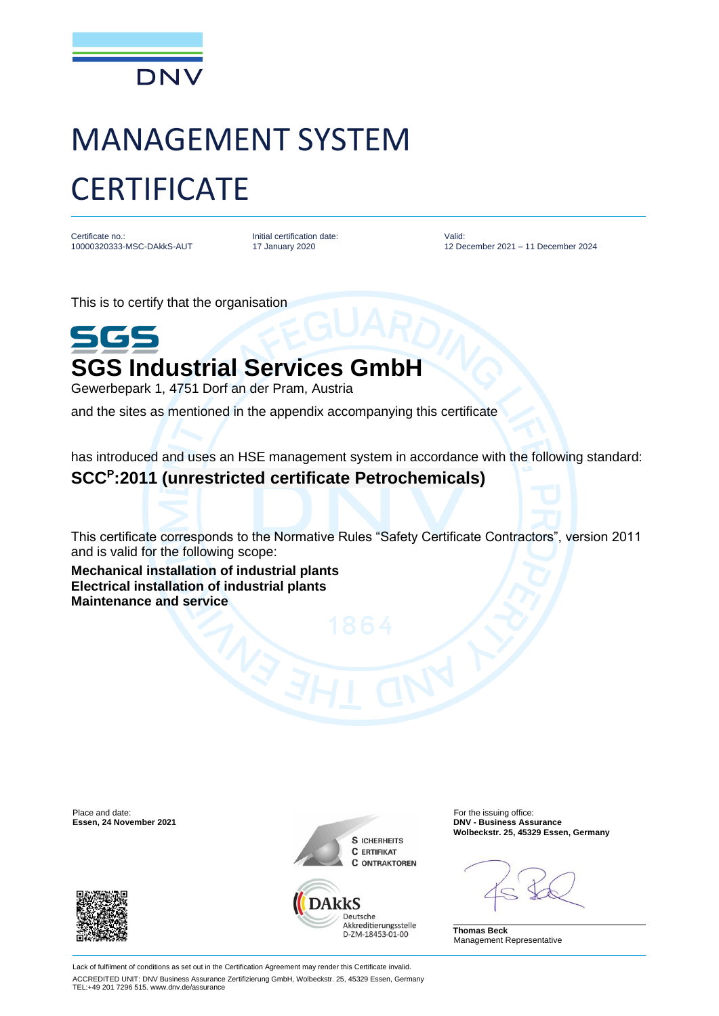

## MANAGEMENT SYSTEM **CERTIFICATE**

Certificate no.: 10000320333-MSC-DAkkS-AUT Initial certification date: 17 January 2020

Valid: 12 December 2021 – 11 December 2024

This is to certify that the organisation



Gewerbepark 1, 4751 Dorf an der Pram, Austria

and the sites as mentioned in the appendix accompanying this certificate

has introduced and uses an HSE management system in accordance with the following standard:

## **SCC<sup>P</sup> :2011 (unrestricted certificate Petrochemicals)**

This certificate corresponds to the Normative Rules "Safety Certificate Contractors", version 2011 and is valid for the following scope:

**Mechanical installation of industrial plants Electrical installation of industrial plants Maintenance and service**

Place and date: For the issuing office: For the issuing office: For the issuing office: For the issuing office:







D-ZM-18453-01-00

**Essen, 24 November 2021 DNV - Business Assurance Wolbeckstr. 25, 45329 Essen, Germany**

**Thomas Beck** Management Representative

Lack of fulfilment of conditions as set out in the Certification Agreement may render this Certificate invalid. ACCREDITED UNIT: DNV Business Assurance Zertifizierung GmbH, Wolbeckstr. 25, 45329 Essen, Germany TEL:+49 201 7296 515. www.dnv.de/assurance